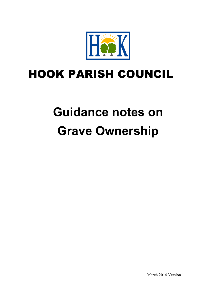

# HOOK PARISH COUNCIL

# **Guidance notes on Grave Ownership**

March 2014 Version 1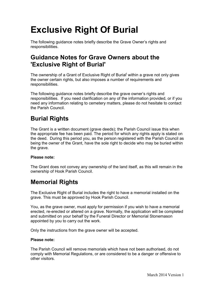# **Exclusive Right Of Burial**

The following guidance notes briefly describe the Grave Owner's rights and responsibilities.

## **Guidance Notes for Grave Owners about the 'Exclusive Right of Burial'**

The ownership of a Grant of Exclusive Right of Burial<sup>i</sup> within a grave not only gives the owner certain rights, but also imposes a number of requirements and responsibilities.

The following guidance notes briefly describe the grave owner's rights and responsibilities. If you need clarification on any of the information provided, or if you need any information relating to cemetery matters, please do not hesitate to contact the Parish Council.

## **Burial Rights**

The Grant is a written document (grave deeds); the Parish Council issue this when the appropriate fee has been paid. The period for which any rights apply is stated on the deed. During this period you, as the person registered with the Parish Council as being the owner of the Grant, have the sole right to decide who may be buried within the grave.

#### **Please note:**

The Grant does not convey any ownership of the land itself, as this will remain in the ownership of Hook Parish Council.

# **Memorial Rights**

The Exclusive Right of Burial includes the right to have a memorial installed on the grave. This must be approved by Hook Parish Council.

You, as the grave owner, must apply for permission if you wish to have a memorial erected, re-erected or altered on a grave. Normally, the application will be completed and submitted on your behalf by the Funeral Director or Memorial Stonemason appointed by you to carry out the work.

Only the instructions from the grave owner will be accepted.

#### **Please note:**

The Parish Council will remove memorials which have not been authorised, do not comply with Memorial Regulations, or are considered to be a danger or offensive to other visitors.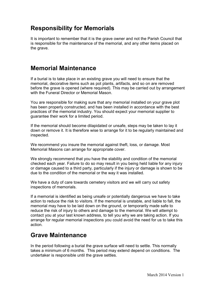## **Responsibility for Memorials**

It is important to remember that it is the grave owner and not the Parish Council that is responsible for the maintenance of the memorial, and any other items placed on the grave.

#### **Memorial Maintenance**

If a burial is to take place in an existing grave you will need to ensure that the memorial, decorative items such as pot plants, artifacts, and so on are removed before the grave is opened (where required). This may be carried out by arrangement with the Funeral Director or Memorial Mason.

You are responsible for making sure that any memorial installed on your grave plot has been properly constructed, and has been installed in accordance with the best practices of the memorial industry. You should expect your memorial supplier to guarantee their work for a limited period.

If the memorial should become dilapidated or unsafe, steps may be taken to lay it down or remove it. It is therefore wise to arrange for it to be regularly maintained and inspected.

We recommend you insure the memorial against theft, loss, or damage. Most Memorial Masons can arrange for appropriate cover.

We strongly recommend that you have the stability and condition of the memorial checked each year. Failure to do so may result in you being held liable for any injury or damage caused to a third party, particularly if the injury or damage is shown to be due to the condition of the memorial or the way it was installed.

We have a duty of care towards cemetery visitors and we will carry out safety inspections of memorials.

If a memorial is identified as being unsafe or potentially dangerous we have to take action to reduce the risk to visitors. If the memorial is unstable, and liable to fall, the memorial may have to be laid down on the ground, or temporarily made safe to reduce the risk of injury to others and damage to the memorial. We will attempt to contact you at your last known address, to tell you why we are taking action. If you arrange for regular memorial inspections you could avoid the need for us to take this action.

#### **Grave Maintenance**

In the period following a burial the grave surface will need to settle. This normally takes a minimum of 6 months. This period may extend depend on conditions. The undertaker is responsible until the grave settles.